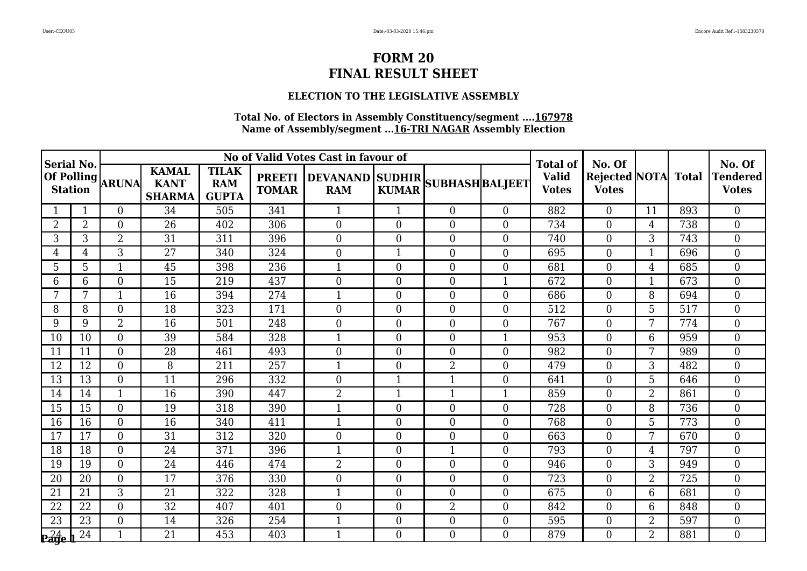## **ELECTION TO THE LEGISLATIVE ASSEMBLY**

| Serial No.     |    |                  |                                              |                                            |                               | No of Valid Votes Cast in favour of |                                                 |                  |                              | <b>Total of</b>                            | No. Of           |                |                                 | No. Of           |
|----------------|----|------------------|----------------------------------------------|--------------------------------------------|-------------------------------|-------------------------------------|-------------------------------------------------|------------------|------------------------------|--------------------------------------------|------------------|----------------|---------------------------------|------------------|
| <b>Station</b> |    | Of Polling ARUNA | <b>KAMAL</b><br><b>KANT</b><br><b>SHARMA</b> | <b>TILAK</b><br><b>RAM</b><br><b>GUPTA</b> | <b>PREETI</b><br><b>TOMAR</b> | <b>RAM</b>                          | DEVANAND SUDHIR SUBHASH BALJEET<br><b>KUMAR</b> |                  | <b>Valid</b><br><b>Votes</b> | <b>Rejected NOTA</b> Total<br><b>Votes</b> |                  |                | <b>Tendered</b><br><b>Votes</b> |                  |
|                |    | $\overline{0}$   | 34                                           | 505                                        | 341                           |                                     | $\mathbf{1}$                                    | $\overline{0}$   | $\overline{0}$               | 882                                        | $\overline{0}$   | 11             | 893                             | $\overline{0}$   |
| $\overline{2}$ | 2  | $\overline{0}$   | 26                                           | 402                                        | 306                           | $\Omega$                            | $\Omega$                                        | $\overline{0}$   | $\Omega$                     | 734                                        | $\overline{0}$   | $\overline{4}$ | 738                             | $\theta$         |
| 3              | 3  | $\overline{2}$   | 31                                           | 311                                        | 396                           | $\theta$                            | $\Omega$                                        | $\boldsymbol{0}$ | $\Omega$                     | 740                                        | $\overline{0}$   | $\overline{3}$ | 743                             | $\overline{0}$   |
| 4              | 4  | $\overline{3}$   | $\overline{27}$                              | 340                                        | 324                           | $\overline{0}$                      | $\mathbf 1$                                     | $\boldsymbol{0}$ | $\overline{0}$               | 695                                        | $\overline{0}$   | 1              | 696                             | $\overline{0}$   |
| 5              | 5  | 1                | 45                                           | 398                                        | 236                           | 1                                   | $\overline{0}$                                  | $\boldsymbol{0}$ | $\overline{0}$               | 681                                        | $\boldsymbol{0}$ | 4              | 685                             | $\overline{0}$   |
| 6              | 6  | $\boldsymbol{0}$ | 15                                           | 219                                        | 437                           | $\overline{0}$                      | $\overline{0}$                                  | $\boldsymbol{0}$ | 1                            | 672                                        | $\boldsymbol{0}$ | $\mathbf 1$    | 673                             | $\boldsymbol{0}$ |
| 7              | 7  | $\mathbf{1}$     | 16                                           | 394                                        | 274                           | $\mathbf{1}$                        | $\overline{0}$                                  | $\boldsymbol{0}$ | $\Omega$                     | 686                                        | $\boldsymbol{0}$ | 8              | 694                             | $\overline{0}$   |
| 8              | 8  | $\overline{0}$   | 18                                           | 323                                        | 171                           | $\overline{0}$                      | $\overline{0}$                                  | $\boldsymbol{0}$ | $\overline{0}$               | 512                                        | $\overline{0}$   | 5              | 517                             | $\overline{0}$   |
| 9              | 9  | $\overline{2}$   | $\overline{16}$                              | 501                                        | 248                           | $\overline{0}$                      | $\Omega$                                        | $\mathbf{0}$     | $\Omega$                     | 767                                        | $\boldsymbol{0}$ | 7              | 774                             | $\overline{0}$   |
| 10             | 10 | $\overline{0}$   | 39                                           | 584                                        | 328                           | $\mathbf{1}$                        | $\Omega$                                        | $\overline{0}$   | $\mathbf{1}$                 | 953                                        | $\overline{0}$   | 6              | 959                             | $\theta$         |
| 11             | 11 | $\overline{0}$   | 28                                           | 461                                        | 493                           | $\overline{0}$                      | $\overline{0}$                                  | $\boldsymbol{0}$ | $\overline{0}$               | 982                                        | $\boldsymbol{0}$ | 7              | 989                             | $\overline{0}$   |
| 12             | 12 | $\boldsymbol{0}$ | 8                                            | 211                                        | 257                           | $\mathbf 1$                         | $\overline{0}$                                  | $\overline{2}$   | $\overline{0}$               | 479                                        | $\boldsymbol{0}$ | 3              | 482                             | $\overline{0}$   |
| 13             | 13 | $\overline{0}$   | 11                                           | 296                                        | 332                           | $\theta$                            | $\mathbf{1}$                                    | $\mathbf{1}$     | $\overline{0}$               | 641                                        | $\overline{0}$   | 5              | 646                             | $\Omega$         |
| 14             | 14 | $\mathbf{1}$     | 16                                           | 390                                        | 447                           | $\overline{2}$                      | $\mathbf{1}$                                    | $\mathbf{1}$     | $\mathbf{1}$                 | 859                                        | $\boldsymbol{0}$ | $\overline{2}$ | 861                             | $\overline{0}$   |
| 15             | 15 | $\overline{0}$   | 19                                           | 318                                        | 390                           | $\mathbf{1}$                        | $\overline{0}$                                  | $\overline{0}$   | $\overline{0}$               | 728                                        | $\overline{0}$   | 8              | 736                             | $\overline{0}$   |
| 16             | 16 | $\overline{0}$   | 16                                           | 340                                        | 411                           | 1                                   | $\Omega$                                        | $\boldsymbol{0}$ | $\Omega$                     | 768                                        | $\overline{0}$   | 5              | 773                             | $\theta$         |
| 17             | 17 | $\overline{0}$   | 31                                           | 312                                        | 320                           | $\overline{0}$                      | $\Omega$                                        | $\overline{0}$   | $\Omega$                     | 663                                        | $\overline{0}$   | 7              | 670                             | $\theta$         |
| 18             | 18 | $\overline{0}$   | 24                                           | 371                                        | 396                           | 1                                   | $\Omega$                                        | $\mathbf{1}$     | $\overline{0}$               | 793                                        | $\theta$         | 4              | 797                             | $\theta$         |
| 19             | 19 | $\boldsymbol{0}$ | 24                                           | 446                                        | 474                           | $\overline{2}$                      | $\overline{0}$                                  | $\boldsymbol{0}$ | $\overline{0}$               | 946                                        | $\boldsymbol{0}$ | 3              | 949                             | $\overline{0}$   |
| 20             | 20 | $\boldsymbol{0}$ | 17                                           | 376                                        | 330                           | $\boldsymbol{0}$                    | $\overline{0}$                                  | $\boldsymbol{0}$ | $\overline{0}$               | 723                                        | $\boldsymbol{0}$ | $\overline{2}$ | 725                             | $\overline{0}$   |
| 21             | 21 | 3                | 21                                           | 322                                        | 328                           | 1                                   | $\Omega$                                        | $\boldsymbol{0}$ | $\Omega$                     | 675                                        | $\overline{0}$   | 6              | 681                             | $\overline{0}$   |
| 22             | 22 | $\overline{0}$   | 32                                           | 407                                        | 401                           | $\overline{0}$                      | $\overline{0}$                                  | $\overline{2}$   | $\overline{0}$               | 842                                        | $\boldsymbol{0}$ | 6              | 848                             | $\boldsymbol{0}$ |
| 23             | 23 | $\overline{0}$   | 14                                           | 326                                        | 254                           | $\mathbf{1}$                        | $\overline{0}$                                  | $\boldsymbol{0}$ | $\overline{0}$               | 595                                        | $\boldsymbol{0}$ | 2              | 597                             | $\overline{0}$   |
| $24$ eage      | 24 | $\mathbf{1}$     | 21                                           | 453                                        | 403                           | $\mathbf{1}$                        | $\Omega$                                        | $\overline{0}$   | $\Omega$                     | 879                                        | $\Omega$         | $\overline{2}$ | 881                             | $\Omega$         |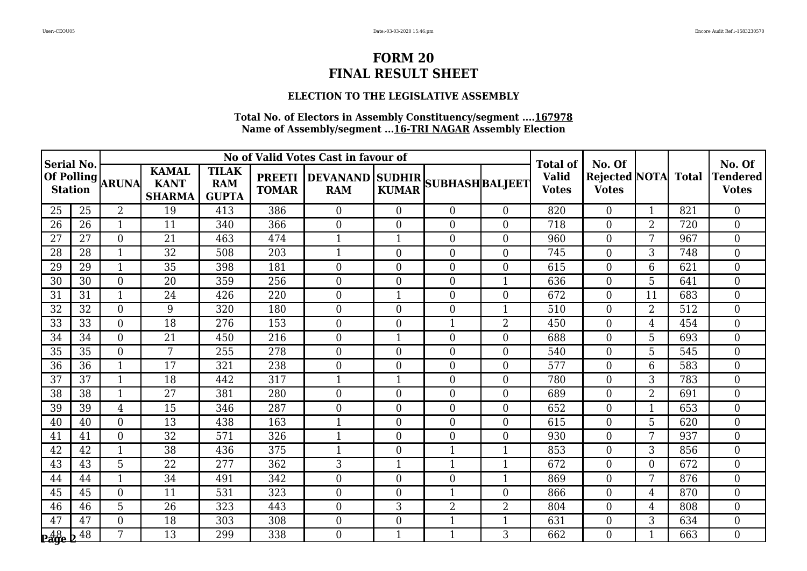## **ELECTION TO THE LEGISLATIVE ASSEMBLY**

| Serial No.     |    |                  |                                              |                                            |                               | No of Valid Votes Cast in favour of           |                |                  |                | <b>Total of</b>              | No. Of                                     |                |     | No. Of                   |
|----------------|----|------------------|----------------------------------------------|--------------------------------------------|-------------------------------|-----------------------------------------------|----------------|------------------|----------------|------------------------------|--------------------------------------------|----------------|-----|--------------------------|
| <b>Station</b> |    | Of Polling ARUNA | <b>KAMAL</b><br><b>KANT</b><br><b>SHARMA</b> | <b>TILAK</b><br><b>RAM</b><br><b>GUPTA</b> | <b>PREETI</b><br><b>TOMAR</b> | DEVANAND SUDHIR SUBHASH BALJEET<br><b>RAM</b> | <b>KUMAR</b>   |                  |                | <b>Valid</b><br><b>Votes</b> | <b>Rejected NOTA</b> Total<br><b>Votes</b> |                |     | Tendered<br><b>Votes</b> |
| 25             | 25 | $\overline{2}$   | 19                                           | 413                                        | 386                           | $\Omega$                                      | $\Omega$       | $\overline{0}$   | $\Omega$       | 820                          | $\overline{0}$                             | $\mathbf{1}$   | 821 | $\theta$                 |
| 26             | 26 | 1                | 11                                           | 340                                        | 366                           | $\overline{0}$                                | $\overline{0}$ | $\boldsymbol{0}$ | $\overline{0}$ | 718                          | $\boldsymbol{0}$                           | $\overline{2}$ | 720 | $\overline{0}$           |
| 27             | 27 | $\boldsymbol{0}$ | 21                                           | 463                                        | 474                           | $\mathbf{1}$                                  | $\mathbf{1}$   | $\overline{0}$   | $\overline{0}$ | 960                          | $\boldsymbol{0}$                           | 7              | 967 | $\overline{0}$           |
| 28             | 28 | $\mathbf{1}$     | 32                                           | 508                                        | 203                           | 1                                             | $\overline{0}$ | $\overline{0}$   | $\Omega$       | 745                          | $\boldsymbol{0}$                           | 3              | 748 | $\overline{0}$           |
| 29             | 29 | $\mathbf{1}$     | 35                                           | 398                                        | 181                           | $\overline{0}$                                | $\overline{0}$ | $\boldsymbol{0}$ | $\overline{0}$ | 615                          | $\boldsymbol{0}$                           | 6              | 621 | $\overline{0}$           |
| 30             | 30 | $\overline{0}$   | 20                                           | 359                                        | 256                           | $\overline{0}$                                | $\overline{0}$ | $\overline{0}$   | $\mathbf{1}$   | 636                          | $\boldsymbol{0}$                           | 5              | 641 | $\overline{0}$           |
| 31             | 31 | $\mathbf{1}$     | 24                                           | 426                                        | 220                           | $\overline{0}$                                | $\mathbf{1}$   | $\boldsymbol{0}$ | $\Omega$       | 672                          | $\boldsymbol{0}$                           | 11             | 683 | $\overline{0}$           |
| 32             | 32 | $\overline{0}$   | 9                                            | 320                                        | 180                           | $\boldsymbol{0}$                              | $\overline{0}$ | $\boldsymbol{0}$ | $\mathbf 1$    | 510                          | $\boldsymbol{0}$                           | $\overline{2}$ | 512 | $\overline{0}$           |
| 33             | 33 | $\overline{0}$   | 18                                           | 276                                        | 153                           | $\overline{0}$                                | $\overline{0}$ | $\mathbf{1}$     | $\overline{2}$ | 450                          | $\boldsymbol{0}$                           | 4              | 454 | $\overline{0}$           |
| 34             | 34 | $\overline{0}$   | 21                                           | 450                                        | 216                           | $\overline{0}$                                | 1              | $\overline{0}$   | $\Omega$       | 688                          | $\boldsymbol{0}$                           | 5              | 693 | $\theta$                 |
| 35             | 35 | $\overline{0}$   | 7                                            | 255                                        | 278                           | $\boldsymbol{0}$                              | $\overline{0}$ | $\boldsymbol{0}$ | $\overline{0}$ | 540                          | $\boldsymbol{0}$                           | 5              | 545 | $\overline{0}$           |
| 36             | 36 | $\mathbf{1}$     | 17                                           | 321                                        | 238                           | $\overline{0}$                                | $\overline{0}$ | $\boldsymbol{0}$ | $\overline{0}$ | 577                          | $\boldsymbol{0}$                           | 6              | 583 | $\overline{0}$           |
| 37             | 37 | $\mathbf{1}$     | 18                                           | 442                                        | 317                           | $\mathbf{1}$                                  | 1              | $\boldsymbol{0}$ | $\overline{0}$ | 780                          | $\overline{0}$                             | 3              | 783 | $\theta$                 |
| 38             | 38 | $\mathbf{1}$     | 27                                           | 381                                        | 280                           | $\overline{0}$                                | $\Omega$       | $\boldsymbol{0}$ | $\Omega$       | 689                          | $\boldsymbol{0}$                           | $2^{\degree}$  | 691 | $\theta$                 |
| 39             | 39 | 4                | 15                                           | 346                                        | 287                           | $\overline{0}$                                | $\Omega$       | $\boldsymbol{0}$ | $\Omega$       | 652                          | $\boldsymbol{0}$                           | 1              | 653 | $\overline{0}$           |
| 40             | 40 | $\boldsymbol{0}$ | 13                                           | 438                                        | 163                           | 1                                             | $\overline{0}$ | $\overline{0}$   | $\overline{0}$ | 615                          | $\boldsymbol{0}$                           | 5              | 620 | $\overline{0}$           |
| 41             | 41 | $\overline{0}$   | 32                                           | 571                                        | 326                           | $\mathbf{1}$                                  | $\overline{0}$ | $\overline{0}$   | $\overline{0}$ | 930                          | $\boldsymbol{0}$                           | 7              | 937 | $\overline{0}$           |
| 42             | 42 | $\mathbf{1}$     | $\overline{38}$                              | 436                                        | 375                           | 1                                             | $\Omega$       | $\mathbf{1}$     | $\overline{1}$ | 853                          | $\theta$                                   | 3              | 856 | $\overline{0}$           |
| 43             | 43 | 5                | 22                                           | 277                                        | 362                           | 3                                             | 1              | $\mathbf{1}$     | 1              | 672                          | $\boldsymbol{0}$                           | 0              | 672 | $\overline{0}$           |
| 44             | 44 | $\mathbf{1}$     | 34                                           | 491                                        | 342                           | $\boldsymbol{0}$                              | $\Omega$       | $\boldsymbol{0}$ | $\mathbf{1}$   | 869                          | $\boldsymbol{0}$                           | 7              | 876 | $\overline{0}$           |
| 45             | 45 | $\overline{0}$   | 11                                           | 531                                        | 323                           | $\overline{0}$                                | $\Omega$       | $\mathbf{1}$     | $\overline{0}$ | 866                          | $\overline{0}$                             | 4              | 870 | $\theta$                 |
| 46             | 46 | 5                | 26                                           | 323                                        | 443                           | $\overline{0}$                                | 3              | $\overline{2}$   | $\overline{2}$ | 804                          | $\boldsymbol{0}$                           | 4              | 808 | $\mathbf{0}$             |
| 47             | 47 | $\overline{0}$   | 18                                           | 303                                        | 308                           | $\overline{0}$                                | $\overline{0}$ | $\mathbf{1}$     | $\mathbf{1}$   | 631                          | $\boldsymbol{0}$                           | 3              | 634 | $\overline{0}$           |
| $Page$         | 48 | $\overline{7}$   | 13                                           | 299                                        | 338                           | $\theta$                                      | $\mathbf{1}$   | $\mathbf{1}$     | 3              | 662                          | $\theta$                                   | 1              | 663 | $\Omega$                 |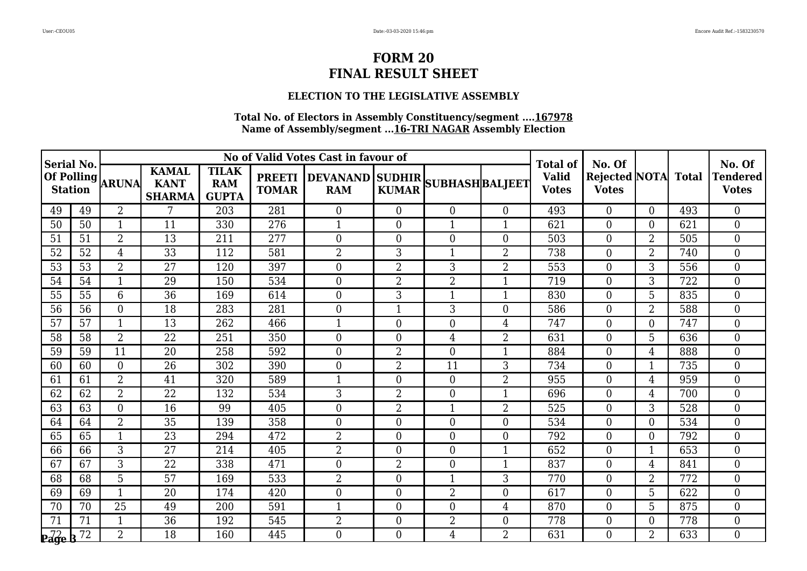## **ELECTION TO THE LEGISLATIVE ASSEMBLY**

| Serial No.                                         |                 |                  |                                              |                                            |                               | No of Valid Votes Cast in favour of            |                |                  |                          | <b>Total of</b>              | No. Of                                     |                |     | No. Of                   |
|----------------------------------------------------|-----------------|------------------|----------------------------------------------|--------------------------------------------|-------------------------------|------------------------------------------------|----------------|------------------|--------------------------|------------------------------|--------------------------------------------|----------------|-----|--------------------------|
| <b>Station</b>                                     |                 | Of Polling ARUNA | <b>KAMAL</b><br><b>KANT</b><br><b>SHARMA</b> | <b>TILAK</b><br><b>RAM</b><br><b>GUPTA</b> | <b>PREETI</b><br><b>TOMAR</b> | DEVANAND SUDHIR SUBHASH BALJEET <br><b>RAM</b> | <b>KUMAR</b>   |                  |                          | <b>Valid</b><br><b>Votes</b> | <b>Rejected NOTA</b> Total<br><b>Votes</b> |                |     | Tendered<br><b>Votes</b> |
| 49                                                 | 49              | $\overline{2}$   | 7                                            | 203                                        | 281                           | $\Omega$                                       | $\overline{0}$ | $\overline{0}$   | $\Omega$                 | 493                          | $\theta$                                   | $\Omega$       | 493 | $\Omega$                 |
| 50                                                 | 50              | 1                | 11                                           | 330                                        | 276                           | 1                                              | $\overline{0}$ | 1                | 1                        | 621                          | $\boldsymbol{0}$                           | $\overline{0}$ | 621 | $\overline{0}$           |
| 51                                                 | 51              | $\overline{2}$   | 13                                           | 211                                        | 277                           | $\overline{0}$                                 | $\overline{0}$ | $\boldsymbol{0}$ | $\overline{0}$           | 503                          | $\boldsymbol{0}$                           | 2              | 505 | $\overline{0}$           |
| 52                                                 | 52              | $\overline{4}$   | 33                                           | 112                                        | 581                           | $\overline{2}$                                 | 3              | $\mathbf{1}$     | $\overline{2}$           | 738                          | $\boldsymbol{0}$                           | $\overline{2}$ | 740 | $\theta$                 |
| 53                                                 | 53              | 2                | 27                                           | 120                                        | 397                           | $\boldsymbol{0}$                               | $\overline{2}$ | 3                | 2                        | 553                          | $\boldsymbol{0}$                           | 3              | 556 | $\overline{0}$           |
| 54                                                 | 54              | $\mathbf{1}$     | 29                                           | 150                                        | 534                           | $\overline{0}$                                 | $\overline{2}$ | $\overline{2}$   | $\mathbf{1}$             | 719                          | $\boldsymbol{0}$                           | 3              | 722 | $\overline{0}$           |
| 55                                                 | 55              | 6                | 36                                           | 169                                        | 614                           | $\theta$                                       | 3              | $\mathbf{1}$     | $\mathbf{1}$             | 830                          | $\boldsymbol{0}$                           | 5              | 835 | $\theta$                 |
| 56                                                 | 56              | $\overline{0}$   | 18                                           | 283                                        | 281                           | $\overline{0}$                                 | $\mathbf 1$    | 3                | $\Omega$                 | 586                          | $\boldsymbol{0}$                           | $\overline{2}$ | 588 | $\overline{0}$           |
| 57                                                 | 57              | $\mathbf{1}$     | 13                                           | 262                                        | 466                           | 1                                              | $\overline{0}$ | $\boldsymbol{0}$ | $\overline{4}$           | 747                          | $\boldsymbol{0}$                           | $\theta$       | 747 | $\overline{0}$           |
| 58                                                 | 58              | $\overline{2}$   | 22                                           | 251                                        | 350                           | $\overline{0}$                                 | $\Omega$       | 4                | 2                        | 631                          | $\overline{0}$                             | 5              | 636 | $\theta$                 |
| 59                                                 | 59              | 11               | 20                                           | 258                                        | 592                           | $\boldsymbol{0}$                               | $\overline{2}$ | $\boldsymbol{0}$ | $\overline{\phantom{a}}$ | 884                          | $\boldsymbol{0}$                           | 4              | 888 | $\overline{0}$           |
| 60                                                 | 60              | $\overline{0}$   | 26                                           | 302                                        | 390                           | $\overline{0}$                                 | $\overline{2}$ | 11               | 3                        | 734                          | $\boldsymbol{0}$                           | 1              | 735 | $\overline{0}$           |
| 61                                                 | 61              | $\overline{2}$   | 41                                           | 320                                        | 589                           | $\mathbf{1}$                                   | $\overline{0}$ | $\overline{0}$   | $\overline{2}$           | 955                          | $\overline{0}$                             | 4              | 959 | $\theta$                 |
| 62                                                 | 62              | $\overline{2}$   | 22                                           | 132                                        | 534                           | 3                                              | $\overline{2}$ | $\boldsymbol{0}$ | $\mathbf 1$              | 696                          | $\boldsymbol{0}$                           | $\overline{4}$ | 700 | $\theta$                 |
| 63                                                 | 63              | $\overline{0}$   | 16                                           | 99                                         | 405                           | $\overline{0}$                                 | $\overline{2}$ | $\mathbf{1}$     | $\overline{2}$           | 525                          | $\boldsymbol{0}$                           | 3              | 528 | $\theta$                 |
| 64                                                 | 64              | $\overline{2}$   | 35                                           | 139                                        | 358                           | $\overline{0}$                                 | $\overline{0}$ | $\overline{0}$   | $\Omega$                 | 534                          | $\boldsymbol{0}$                           | $\overline{0}$ | 534 | $\overline{0}$           |
| 65                                                 | 65              | $\mathbf{1}$     | 23                                           | 294                                        | 472                           | $\overline{2}$                                 | $\overline{0}$ | $\overline{0}$   | $\overline{0}$           | 792                          | $\boldsymbol{0}$                           | $\Omega$       | 792 | $\overline{0}$           |
| 66                                                 | 66              | $\overline{3}$   | $\overline{27}$                              | 214                                        | 405                           | $\overline{2}$                                 | $\Omega$       | $\overline{0}$   | $\overline{1}$           | 652                          | $\theta$                                   | $\mathbf{1}$   | 653 | $\theta$                 |
| 67                                                 | 67              | 3                | 22                                           | 338                                        | 471                           | $\overline{0}$                                 | $\overline{2}$ | $\boldsymbol{0}$ | $\mathbf 1$              | 837                          | $\boldsymbol{0}$                           | $\overline{4}$ | 841 | $\overline{0}$           |
| 68                                                 | 68              | 5                | 57                                           | 169                                        | 533                           | $\overline{2}$                                 | $\Omega$       | $\mathbf{1}$     | 3                        | 770                          | $\boldsymbol{0}$                           | $\overline{2}$ | 772 | $\overline{0}$           |
| 69                                                 | 69              | $\mathbf{1}$     | 20                                           | 174                                        | 420                           | $\overline{0}$                                 | $\Omega$       | $\overline{2}$   | $\overline{0}$           | 617                          | $\overline{0}$                             | 5              | 622 | $\theta$                 |
| 70                                                 | 70              | 25               | 49                                           | 200                                        | 591                           | 1                                              | $\overline{0}$ | $\boldsymbol{0}$ | $\overline{4}$           | 870                          | $\boldsymbol{0}$                           | 5              | 875 | $\overline{0}$           |
| $7\overline{1}$                                    | $\overline{71}$ | $\mathbf{1}$     | $\overline{36}$                              | 192                                        | 545                           | $\overline{2}$                                 | $\overline{0}$ | $\overline{2}$   | $\overline{0}$           | 778                          | $\boldsymbol{0}$                           | $\Omega$       | 778 | $\overline{0}$           |
| $\mathbf{p}_{\mathbf{a}\mathbf{g}\mathbf{e}}^{72}$ | 72              | $\overline{2}$   | 18                                           | 160                                        | 445                           | $\theta$                                       | $\Omega$       | 4                | $\overline{2}$           | 631                          | $\theta$                                   | $\overline{2}$ | 633 | $\Omega$                 |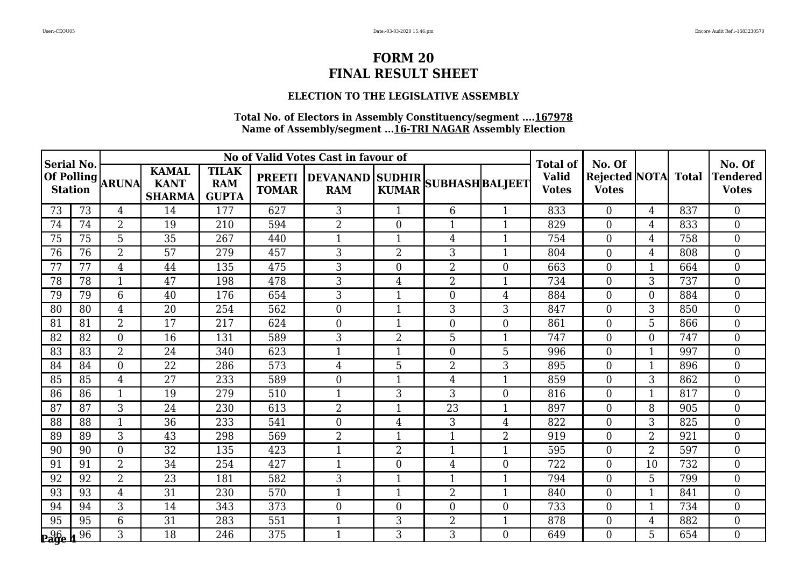## **ELECTION TO THE LEGISLATIVE ASSEMBLY**

| Serial No.         |    |                  |                                              |                                            |                               | No of Valid Votes Cast in favour of |                |                                 |                | <b>Total of</b>              | No. Of                                     |                |     | No. Of                   |
|--------------------|----|------------------|----------------------------------------------|--------------------------------------------|-------------------------------|-------------------------------------|----------------|---------------------------------|----------------|------------------------------|--------------------------------------------|----------------|-----|--------------------------|
| <b>Station</b>     |    | Of Polling ARUNA | <b>KAMAL</b><br><b>KANT</b><br><b>SHARMA</b> | <b>TILAK</b><br><b>RAM</b><br><b>GUPTA</b> | <b>PREETI</b><br><b>TOMAR</b> | <b>RAM</b>                          | <b>KUMAR</b>   | DEVANAND SUDHIR SUBHASH BALJEET |                | <b>Valid</b><br><b>Votes</b> | <b>Rejected NOTA</b> Total<br><b>Votes</b> |                |     | Tendered<br><b>Votes</b> |
| 73                 | 73 | $\overline{4}$   | 14                                           | 177                                        | 627                           | 3                                   | $\mathbf{1}$   | 6                               | $\mathbf{1}$   | 833                          | $\theta$                                   | 4              | 837 | $\theta$                 |
| 74                 | 74 | $\overline{2}$   | 19                                           | 210                                        | 594                           | $\overline{2}$                      | $\overline{0}$ | $\mathbf{1}$                    | 1              | 829                          | $\boldsymbol{0}$                           | $\overline{4}$ | 833 | $\overline{0}$           |
| 75                 | 75 | 5                | 35                                           | 267                                        | 440                           | $\mathbf{1}$                        | $\mathbf{1}$   | 4                               | $\mathbf{1}$   | 754                          | $\boldsymbol{0}$                           | 4              | 758 | $\overline{0}$           |
| 76                 | 76 | $\overline{2}$   | 57                                           | 279                                        | 457                           | 3                                   | $\overline{2}$ | 3                               | $\mathbf{1}$   | 804                          | $\boldsymbol{0}$                           | 4              | 808 | $\overline{0}$           |
| 77                 | 77 | 4                | 44                                           | 135                                        | 475                           | 3                                   | $\overline{0}$ | $\overline{2}$                  | $\overline{0}$ | 663                          | $\boldsymbol{0}$                           | 1              | 664 | $\overline{0}$           |
| 78                 | 78 | $\mathbf{1}$     | 47                                           | 198                                        | 478                           | 3                                   | $\overline{4}$ | $\overline{2}$                  | $\mathbf{1}$   | 734                          | $\boldsymbol{0}$                           | 3              | 737 | $\overline{0}$           |
| 79                 | 79 | 6                | 40                                           | 176                                        | 654                           | 3                                   | $\mathbf{1}$   | $\boldsymbol{0}$                | $\overline{4}$ | 884                          | $\boldsymbol{0}$                           | 0              | 884 | $\theta$                 |
| 80                 | 80 | 4                | 20                                           | 254                                        | 562                           | $\boldsymbol{0}$                    | $\mathbf 1$    | 3                               | 3              | 847                          | $\boldsymbol{0}$                           | 3              | 850 | $\overline{0}$           |
| 81                 | 81 | $\overline{2}$   | 17                                           | 217                                        | 624                           | $\overline{0}$                      | 1              | $\boldsymbol{0}$                | $\overline{0}$ | 861                          | $\boldsymbol{0}$                           | 5              | 866 | $\overline{0}$           |
| 82                 | 82 | $\overline{0}$   | 16                                           | 131                                        | 589                           | 3                                   | $\overline{2}$ | 5                               | $\mathbf 1$    | 747                          | $\overline{0}$                             | 0              | 747 | $\theta$                 |
| 83                 | 83 | $\overline{2}$   | 24                                           | 340                                        | 623                           | 1                                   | $\mathbf 1$    | $\boldsymbol{0}$                | 5              | 996                          | $\boldsymbol{0}$                           | 1              | 997 | $\overline{0}$           |
| 84                 | 84 | $\overline{0}$   | 22                                           | 286                                        | 573                           | $\overline{4}$                      | 5              | $\overline{2}$                  | 3              | 895                          | $\boldsymbol{0}$                           | $\mathbf 1$    | 896 | $\overline{0}$           |
| 85                 | 85 | $\overline{4}$   | 27                                           | 233                                        | 589                           | $\overline{0}$                      | 1              | 4                               | $\mathbf{1}$   | 859                          | $\overline{0}$                             | 3              | 862 | $\theta$                 |
| 86                 | 86 | $\mathbf{1}$     | 19                                           | 279                                        | 510                           | $\mathbf 1$                         | 3              | 3                               | $\Omega$       | 816                          | $\boldsymbol{0}$                           | $\mathbf 1$    | 817 | $\theta$                 |
| 87                 | 87 | 3                | 24                                           | 230                                        | 613                           | $\overline{2}$                      | 1              | 23                              | $\mathbf{1}$   | 897                          | $\boldsymbol{0}$                           | 8              | 905 | $\theta$                 |
| 88                 | 88 | $\mathbf{1}$     | 36                                           | 233                                        | 541                           | $\overline{0}$                      | 4              | 3                               | $\overline{4}$ | 822                          | $\boldsymbol{0}$                           | 3              | 825 | $\overline{0}$           |
| 89                 | 89 | 3                | 43                                           | 298                                        | 569                           | $\overline{2}$                      | $\mathbf{1}$   | $\mathbf{1}$                    | $\overline{2}$ | 919                          | $\boldsymbol{0}$                           | $\overline{2}$ | 921 | $\overline{0}$           |
| 90                 | 90 | $\overline{0}$   | $\overline{32}$                              | 135                                        | 423                           | 1                                   | $\overline{2}$ | $\mathbf{1}$                    | $\overline{1}$ | 595                          | $\theta$                                   | $\overline{2}$ | 597 | $\theta$                 |
| 91                 | 91 | $\overline{2}$   | 34                                           | 254                                        | 427                           | 1                                   | $\overline{0}$ | 4                               | $\Omega$       | 722                          | $\boldsymbol{0}$                           | 10             | 732 | $\overline{0}$           |
| 92                 | 92 | $\overline{2}$   | 23                                           | 181                                        | 582                           | 3                                   | $\mathbf{1}$   | $\mathbf{1}$                    | 1              | 794                          | $\boldsymbol{0}$                           | 5              | 799 | $\overline{0}$           |
| 93                 | 93 | 4                | 31                                           | 230                                        | 570                           | 1                                   | -1             | $\overline{2}$                  | $\mathbf{1}$   | 840                          | $\overline{0}$                             | 1              | 841 | $\theta$                 |
| 94                 | 94 | 3                | 14                                           | 343                                        | 373                           | $\overline{0}$                      | $\overline{0}$ | $\boldsymbol{0}$                | $\overline{0}$ | 733                          | $\boldsymbol{0}$                           | 1              | 734 | $\overline{0}$           |
| 95                 | 95 | 6                | $\overline{31}$                              | 283                                        | 551                           | $\mathbf{1}$                        | 3              | $\overline{2}$                  | $\mathbf{1}$   | 878                          | $\boldsymbol{0}$                           | 4              | 882 | $\overline{0}$           |
| $_{\bf page}^{96}$ | 96 | 3                | 18                                           | 246                                        | 375                           | $\mathbf{1}$                        | 3              | 3                               | $\Omega$       | 649                          | $\theta$                                   | 5              | 654 | $\Omega$                 |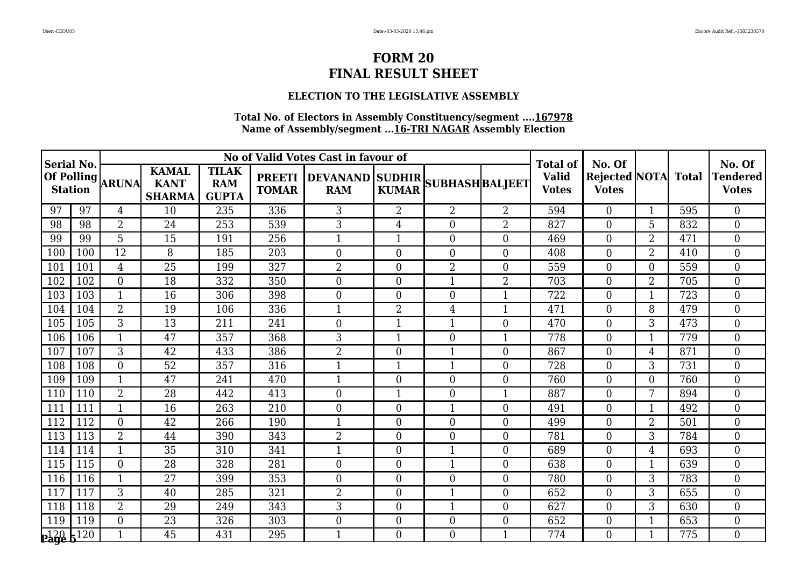## **ELECTION TO THE LEGISLATIVE ASSEMBLY**

| <b>Serial No.</b> |     |                  |                                              |                                            |                               | No of Valid Votes Cast in favour of           |                |                  |                | <b>Total of</b>              | No. Of                                     |                |     | No. Of                          |
|-------------------|-----|------------------|----------------------------------------------|--------------------------------------------|-------------------------------|-----------------------------------------------|----------------|------------------|----------------|------------------------------|--------------------------------------------|----------------|-----|---------------------------------|
| <b>Station</b>    |     | Of Polling ARUNA | <b>KAMAL</b><br><b>KANT</b><br><b>SHARMA</b> | <b>TILAK</b><br><b>RAM</b><br><b>GUPTA</b> | <b>PREETI</b><br><b>TOMAR</b> | DEVANAND SUDHIR SUBHASH BALJEET<br><b>RAM</b> | <b>KUMAR</b>   |                  |                | <b>Valid</b><br><b>Votes</b> | <b>Rejected NOTA</b> Total<br><b>Votes</b> |                |     | <b>Tendered</b><br><b>Votes</b> |
| 97                | 97  | $\overline{4}$   | 10                                           | 235                                        | 336                           | 3                                             | $\overline{2}$ | $\overline{2}$   | $\overline{2}$ | 594                          | $\overline{0}$                             | $\mathbf{1}$   | 595 | $\overline{0}$                  |
| 98                | 98  | $\overline{2}$   | 24                                           | 253                                        | 539                           | 3                                             | $\overline{4}$ | $\overline{0}$   | $\overline{2}$ | 827                          | $\overline{0}$                             | 5              | 832 | $\theta$                        |
| 99                | 99  | 5                | 15                                           | 191                                        | 256                           | 1                                             | $\mathbf{1}$   | $\overline{0}$   | $\theta$       | 469                          | $\overline{0}$                             | $\overline{2}$ | 471 | $\theta$                        |
| 100               | 100 | $\overline{12}$  | 8                                            | 185                                        | 203                           | $\mathbf{0}$                                  | $\theta$       | $\boldsymbol{0}$ | $\theta$       | 408                          | $\overline{0}$                             | $\overline{2}$ | 410 | $\theta$                        |
| 101               | 101 | 4                | 25                                           | 199                                        | 327                           | $\overline{2}$                                | $\overline{0}$ | $\overline{2}$   | $\overline{0}$ | 559                          | $\overline{0}$                             | $\Omega$       | 559 | $\overline{0}$                  |
| 102               | 102 | $\overline{0}$   | 18                                           | 332                                        | 350                           | $\mathbf{0}$                                  | $\overline{0}$ | $\mathbf{1}$     | $\overline{2}$ | 703                          | $\overline{0}$                             | $\overline{2}$ | 705 | $\overline{0}$                  |
| 103               | 103 | $\mathbf{1}$     | 16                                           | 306                                        | 398                           | $\mathbf{0}$                                  | $\theta$       | $\boldsymbol{0}$ | $\mathbf{1}$   | 722                          | $\boldsymbol{0}$                           | 1              | 723 | $\overline{0}$                  |
| 104               | 104 | $\overline{2}$   | 19                                           | 106                                        | 336                           | 1                                             | $\overline{2}$ | 4                |                | 471                          | $\overline{0}$                             | 8              | 479 | $\overline{0}$                  |
| 105               | 105 | 3                | $\overline{13}$                              | 211                                        | 241                           | $\mathbf{0}$                                  | 1              | $\mathbf{1}$     | $\overline{0}$ | 470                          | $\boldsymbol{0}$                           | 3              | 473 | $\overline{0}$                  |
| 106               | 106 | $\mathbf{1}$     | 47                                           | 357                                        | 368                           | 3                                             | $\mathbf{1}$   | $\boldsymbol{0}$ | $\mathbf{1}$   | 778                          | $\overline{0}$                             | 1              | 779 | $\theta$                        |
| 107               | 107 | 3                | 42                                           | 433                                        | 386                           | $\overline{2}$                                | $\overline{0}$ | $\mathbf{1}$     | $\theta$       | 867                          | $\boldsymbol{0}$                           | 4              | 871 | $\overline{0}$                  |
| 108               | 108 | $\overline{0}$   | 52                                           | 357                                        | 316                           | $\mathbf{1}$                                  | 1              | $\mathbf{1}$     | $\overline{0}$ | 728                          | $\mathbf{0}$                               | 3              | 731 | $\overline{0}$                  |
| 109               | 109 | $\mathbf{1}$     | 47                                           | 241                                        | 470                           | $\mathbf{1}$                                  | $\theta$       | $\overline{0}$   | $\theta$       | 760                          | $\overline{0}$                             | 0              | 760 | $\theta$                        |
| 110               | 110 | 2                | 28                                           | 442                                        | 413                           | $\mathbf{0}$                                  | $\mathbf{1}$   | $\boldsymbol{0}$ | $\mathbf{1}$   | 887                          | $\overline{0}$                             | 7              | 894 | $\overline{0}$                  |
| 111               | 111 | 1                | 16                                           | 263                                        | 210                           | $\overline{0}$                                | $\overline{0}$ | $\overline{1}$   | $\overline{0}$ | 491                          | $\boldsymbol{0}$                           | -1             | 492 | $\overline{0}$                  |
| 112               | 112 | $\overline{0}$   | 42                                           | 266                                        | 190                           | $\mathbf{1}$                                  | $\Omega$       | $\overline{0}$   | $\overline{0}$ | 499                          | $\overline{0}$                             | $\overline{2}$ | 501 | $\theta$                        |
| 113               | 113 | $\overline{2}$   | 44                                           | 390                                        | 343                           | $\overline{2}$                                | $\theta$       | $\boldsymbol{0}$ | $\theta$       | 781                          | $\overline{0}$                             | 3              | 784 | $\theta$                        |
| 114               | 114 | 1                | $\overline{35}$                              | 310                                        | 341                           | 1                                             | $\theta$       | $\mathbf{1}$     | $\theta$       | 689                          | $\overline{0}$                             | 4              | 693 | $\theta$                        |
| 115               | 115 | $\overline{0}$   | 28                                           | 328                                        | 281                           | $\mathbf{0}$                                  | $\overline{0}$ | $\mathbf{1}$     | $\overline{0}$ | 638                          | $\boldsymbol{0}$                           | -1             | 639 | $\overline{0}$                  |
| 116               | 116 | 1                | 27                                           | 399                                        | 353                           | $\mathbf{0}$                                  | $\overline{0}$ | $\boldsymbol{0}$ | $\overline{0}$ | 780                          | $\overline{0}$                             | 3              | 783 | $\overline{0}$                  |
| 117               | 117 | 3                | 40                                           | 285                                        | 321                           | $\overline{2}$                                | $\theta$       | $\mathbf{1}$     | $\theta$       | 652                          | $\overline{0}$                             | 3              | 655 | $\theta$                        |
| 118               | 118 | $\overline{2}$   | 29                                           | 249                                        | 343                           | 3                                             | $\overline{0}$ | $\mathbf{1}$     | $\overline{0}$ | 627                          | $\boldsymbol{0}$                           | 3              | 630 | $\overline{0}$                  |
| 119               | 119 | $\overline{0}$   | 23                                           | 326                                        | 303                           | $\boldsymbol{0}$                              | $\overline{0}$ | $\overline{0}$   | $\overline{0}$ | 652                          | $\overline{0}$                             | 1              | 653 | $\overline{0}$                  |
| 20 5120           |     | $\mathbf{1}$     | 45                                           | 431                                        | 295                           | $\mathbf{1}$                                  | $\Omega$       | $\Omega$         | $\mathbf{1}$   | 774                          | $\Omega$                                   | 1              | 775 | $\Omega$                        |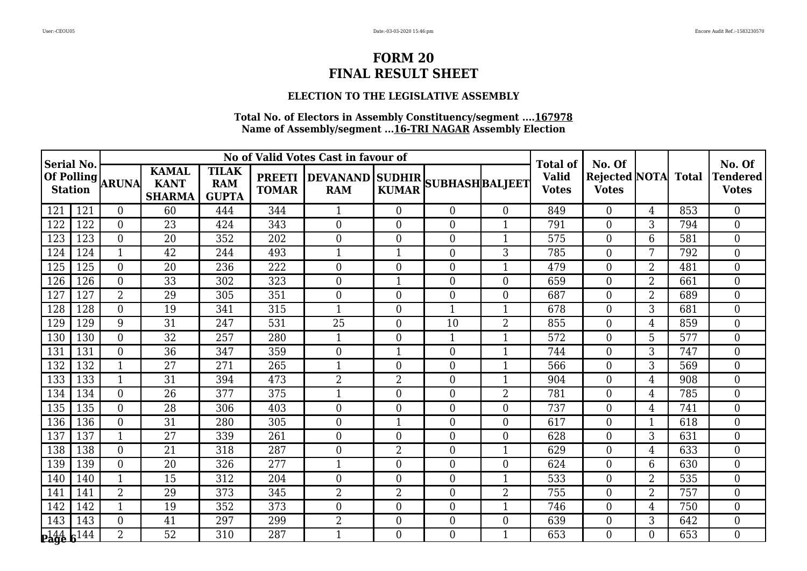## **ELECTION TO THE LEGISLATIVE ASSEMBLY**

| <b>Serial No.</b>               |      |                  |                                              |                                            |              | No of Valid Votes Cast in favour of                  |                |                  |                         | <b>Total of</b>              | No. Of                                     |                |     | No. Of                          |
|---------------------------------|------|------------------|----------------------------------------------|--------------------------------------------|--------------|------------------------------------------------------|----------------|------------------|-------------------------|------------------------------|--------------------------------------------|----------------|-----|---------------------------------|
| <b>Station</b>                  |      | Of Polling ARUNA | <b>KAMAL</b><br><b>KANT</b><br><b>SHARMA</b> | <b>TILAK</b><br><b>RAM</b><br><b>GUPTA</b> | <b>TOMAR</b> | PREETI DEVANAND SUDHIR SUBHASH BALJEET<br><b>RAM</b> | <b>KUMAR</b>   |                  |                         | <b>Valid</b><br><b>Votes</b> | <b>Rejected NOTA</b> Total<br><b>Votes</b> |                |     | <b>Tendered</b><br><b>Votes</b> |
| 121                             | 121  | $\overline{0}$   | 60                                           | 444                                        | 344          | 1                                                    | $\theta$       | $\overline{0}$   | $\overline{0}$          | 849                          | $\theta$                                   | $\overline{4}$ | 853 | $\Omega$                        |
| 122                             | 122  | $\overline{0}$   | 23                                           | 424                                        | 343          | $\mathbf{0}$                                         | $\overline{0}$ | $\boldsymbol{0}$ | $\mathbf 1$             | 791                          | $\boldsymbol{0}$                           | 3              | 794 | $\overline{0}$                  |
| 123                             | 123  | $\overline{0}$   | 20                                           | 352                                        | 202          | $\mathbf{0}$                                         | $\theta$       | $\boldsymbol{0}$ | $\mathbf{1}$            | 575                          | $\overline{0}$                             | 6              | 581 | $\overline{0}$                  |
| 124                             | 124  | $\mathbf{1}$     | 42                                           | 244                                        | 493          | $\mathbf{1}$                                         | $\mathbf{1}$   | $\boldsymbol{0}$ | 3                       | 785                          | $\boldsymbol{0}$                           | 7              | 792 | $\theta$                        |
| 125                             | 125  | $\overline{0}$   | 20                                           | 236                                        | 222          | $\mathbf{0}$                                         | $\overline{0}$ | $\boldsymbol{0}$ |                         | 479                          | $\boldsymbol{0}$                           | $\overline{2}$ | 481 | $\overline{0}$                  |
| 126                             | 126  | $\overline{0}$   | 33                                           | 302                                        | 323          | $\mathbf{0}$                                         | $\mathbf{1}$   | $\overline{0}$   | $\overline{0}$          | 659                          | $\overline{0}$                             | $\overline{2}$ | 661 | $\overline{0}$                  |
| 127                             | 127  | $\overline{2}$   | 29                                           | 305                                        | 351          | $\overline{0}$                                       | $\overline{0}$ | $\overline{0}$   | $\theta$                | 687                          | $\overline{0}$                             | $\overline{2}$ | 689 | $\overline{0}$                  |
| 128                             | 128  | $\overline{0}$   | 19                                           | 341                                        | 315          | $\mathbf{1}$                                         | $\theta$       | $\mathbf{1}$     | $\mathbf{1}$            | 678                          | $\overline{0}$                             | 3              | 681 | $\theta$                        |
| 129                             | 129  | 9                | 31                                           | 247                                        | 531          | 25                                                   | $\theta$       | 10               | $\overline{2}$          | 855                          | $\overline{0}$                             | 4              | 859 | $\theta$                        |
| 130                             | 130  | $\Omega$         | 32                                           | 257                                        | 280          | $\mathbf{1}$                                         | $\Omega$       | $\mathbf{1}$     | $\mathbf{1}$            | 572                          | $\theta$                                   | 5              | 577 | $\theta$                        |
| 131                             | 131  | $\overline{0}$   | 36                                           | 347                                        | 359          | $\mathbf{0}$                                         | $\mathbf{1}$   | $\boldsymbol{0}$ | -1                      | 744                          | $\theta$                                   | 3              | 747 | $\theta$                        |
| 132                             | 132  | 1                | 27                                           | 271                                        | 265          | $\mathbf{1}$                                         | $\theta$       | $\overline{0}$   | $\overline{\mathbf{1}}$ | 566                          | $\theta$                                   | 3              | 569 | $\overline{0}$                  |
| 133                             | 133  | 1                | 31                                           | 394                                        | 473          | $\overline{2}$                                       | $\overline{2}$ | $\overline{0}$   | $\mathbf 1$             | 904                          | $\boldsymbol{0}$                           | 4              | 908 | $\overline{0}$                  |
| 134                             | 134  | $\Omega$         | 26                                           | 377                                        | 375          | $\mathbf{1}$                                         | $\theta$       | $\overline{0}$   | $\overline{2}$          | 781                          | $\overline{0}$                             | 4              | 785 | $\theta$                        |
| 135                             | 135  | $\overline{0}$   | 28                                           | 306                                        | 403          | $\mathbf{0}$                                         | $\theta$       | $\overline{0}$   | $\theta$                | 737                          | $\overline{0}$                             | 4              | 741 | $\theta$                        |
| 136                             | 136  | $\overline{0}$   | 31                                           | 280                                        | 305          | $\mathbf{0}$                                         |                | $\boldsymbol{0}$ | $\overline{0}$          | 617                          | $\boldsymbol{0}$                           |                | 618 | $\overline{0}$                  |
| 137                             | 137  | $\mathbf{1}$     | 27                                           | 339                                        | 261          | $\boldsymbol{0}$                                     | $\overline{0}$ | $\boldsymbol{0}$ | $\overline{0}$          | 628                          | $\overline{0}$                             | 3              | 631 | $\overline{0}$                  |
| 138                             | 138  | $\overline{0}$   | 21                                           | 318                                        | 287          | $\overline{0}$                                       | $\overline{2}$ | $\boldsymbol{0}$ | $\mathbf{1}$            | 629                          | $\overline{0}$                             | $\overline{4}$ | 633 | $\theta$                        |
| 139                             | 139  | $\overline{0}$   | 20                                           | 326                                        | 277          | 1                                                    | $\overline{0}$ | $\boldsymbol{0}$ | $\overline{0}$          | 624                          | $\boldsymbol{0}$                           | 6              | 630 | $\overline{0}$                  |
| 140                             | 140  | $\mathbf{1}$     | 15                                           | 312                                        | 204          | $\mathbf{0}$                                         | $\overline{0}$ | $\overline{0}$   | $\mathbf{1}$            | 533                          | $\boldsymbol{0}$                           | $\overline{2}$ | 535 | $\overline{0}$                  |
| 141                             | 141  | $\overline{2}$   | 29                                           | 373                                        | 345          | $\overline{2}$                                       | 2              | $\boldsymbol{0}$ | $\overline{2}$          | 755                          | $\overline{0}$                             | 2              | 757 | $\theta$                        |
| 142                             | 142  | 1                | 19                                           | 352                                        | 373          | $\overline{0}$                                       | $\overline{0}$ | $\overline{0}$   | $\mathbf{1}$            | 746                          | $\overline{0}$                             | 4              | 750 | $\overline{0}$                  |
| 143                             | 143  | $\overline{0}$   | 41                                           | 297                                        | 299          | $\overline{2}$                                       | $\overline{0}$ | $\overline{0}$   | $\overline{0}$          | 639                          | $\overline{0}$                             | 3              | 642 | $\overline{0}$                  |
| $\mathbf{p}_\mathbf{age}^{144}$ | c144 | $\overline{2}$   | 52                                           | 310                                        | 287          | $\mathbf{1}$                                         | $\Omega$       | 0                | $\mathbf{1}$            | 653                          | $\Omega$                                   | 0              | 653 | $\Omega$                        |